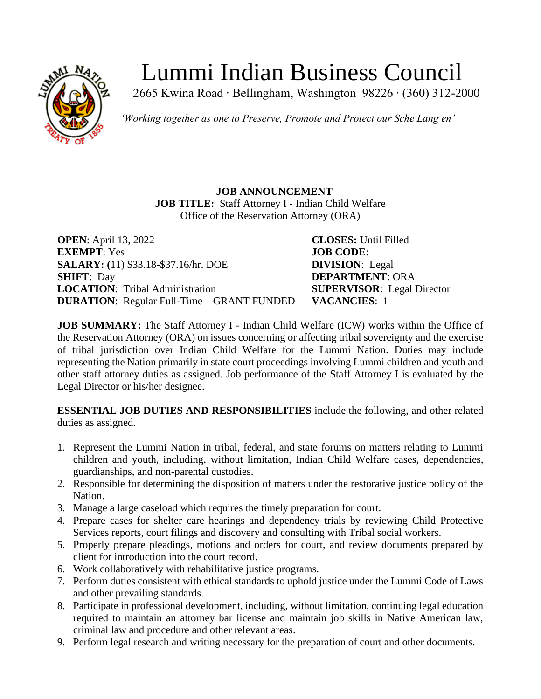

# Lummi Indian Business Council

2665 Kwina Road ∙ Bellingham, Washington 98226 ∙ (360) 312-2000

*'Working together as one to Preserve, Promote and Protect our Sche Lang en'*

## **JOB ANNOUNCEMENT JOB TITLE:** Staff Attorney I - Indian Child Welfare Office of the Reservation Attorney (ORA)

| <b>OPEN</b> : April 13, 2022                      | $\mathbf C$ |
|---------------------------------------------------|-------------|
| <b>EXEMPT: Yes</b>                                | J).         |
| <b>SALARY:</b> (11) \$33.18-\$37.16/hr. DOE       | D           |
| <b>SHIFT: Day</b>                                 | D           |
| <b>LOCATION:</b> Tribal Administration            | S1          |
| <b>DURATION:</b> Regular Full-Time – GRANT FUNDED | V           |

**LOSES:** Until Filled **EXEMPT**: Yes **JOB CODE**: **IVISION**: Legal **SEPARTMENT: ORA LOPERVISOR:** Legal Director **ACANCIES**: 1

**JOB SUMMARY:** The Staff Attorney I - Indian Child Welfare (ICW) works within the Office of the Reservation Attorney (ORA) on issues concerning or affecting tribal sovereignty and the exercise of tribal jurisdiction over Indian Child Welfare for the Lummi Nation. Duties may include representing the Nation primarily in state court proceedings involving Lummi children and youth and other staff attorney duties as assigned. Job performance of the Staff Attorney I is evaluated by the Legal Director or his/her designee.

**ESSENTIAL JOB DUTIES AND RESPONSIBILITIES** include the following, and other related duties as assigned.

- 1. Represent the Lummi Nation in tribal, federal, and state forums on matters relating to Lummi children and youth, including, without limitation, Indian Child Welfare cases, dependencies, guardianships, and non-parental custodies.
- 2. Responsible for determining the disposition of matters under the restorative justice policy of the Nation.
- 3. Manage a large caseload which requires the timely preparation for court.
- 4. Prepare cases for shelter care hearings and dependency trials by reviewing Child Protective Services reports, court filings and discovery and consulting with Tribal social workers.
- 5. Properly prepare pleadings, motions and orders for court, and review documents prepared by client for introduction into the court record.
- 6. Work collaboratively with rehabilitative justice programs.
- 7. Perform duties consistent with ethical standards to uphold justice under the Lummi Code of Laws and other prevailing standards.
- 8. Participate in professional development, including, without limitation, continuing legal education required to maintain an attorney bar license and maintain job skills in Native American law, criminal law and procedure and other relevant areas.
- 9. Perform legal research and writing necessary for the preparation of court and other documents.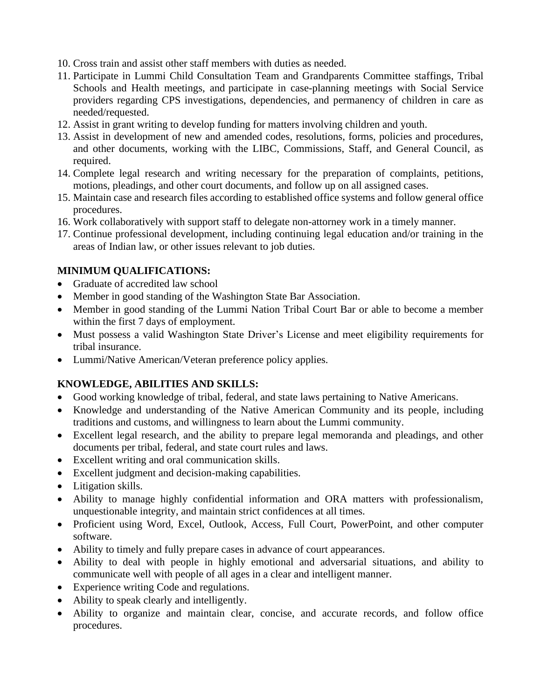- 10. Cross train and assist other staff members with duties as needed.
- 11. Participate in Lummi Child Consultation Team and Grandparents Committee staffings, Tribal Schools and Health meetings, and participate in case-planning meetings with Social Service providers regarding CPS investigations, dependencies, and permanency of children in care as needed/requested.
- 12. Assist in grant writing to develop funding for matters involving children and youth.
- 13. Assist in development of new and amended codes, resolutions, forms, policies and procedures, and other documents, working with the LIBC, Commissions, Staff, and General Council, as required.
- 14. Complete legal research and writing necessary for the preparation of complaints, petitions, motions, pleadings, and other court documents, and follow up on all assigned cases.
- 15. Maintain case and research files according to established office systems and follow general office procedures.
- 16. Work collaboratively with support staff to delegate non-attorney work in a timely manner.
- 17. Continue professional development, including continuing legal education and/or training in the areas of Indian law, or other issues relevant to job duties.

### **MINIMUM QUALIFICATIONS:**

- Graduate of accredited law school
- Member in good standing of the Washington State Bar Association.
- Member in good standing of the Lummi Nation Tribal Court Bar or able to become a member within the first 7 days of employment.
- Must possess a valid Washington State Driver's License and meet eligibility requirements for tribal insurance.
- Lummi/Native American/Veteran preference policy applies.

### **KNOWLEDGE, ABILITIES AND SKILLS:**

- Good working knowledge of tribal, federal, and state laws pertaining to Native Americans.
- Knowledge and understanding of the Native American Community and its people, including traditions and customs, and willingness to learn about the Lummi community.
- Excellent legal research, and the ability to prepare legal memoranda and pleadings, and other documents per tribal, federal, and state court rules and laws.
- Excellent writing and oral communication skills.
- Excellent judgment and decision-making capabilities.
- Litigation skills.
- Ability to manage highly confidential information and ORA matters with professionalism, unquestionable integrity, and maintain strict confidences at all times.
- Proficient using Word, Excel, Outlook, Access, Full Court, PowerPoint, and other computer software.
- Ability to timely and fully prepare cases in advance of court appearances.
- Ability to deal with people in highly emotional and adversarial situations, and ability to communicate well with people of all ages in a clear and intelligent manner.
- Experience writing Code and regulations.
- Ability to speak clearly and intelligently.
- Ability to organize and maintain clear, concise, and accurate records, and follow office procedures.